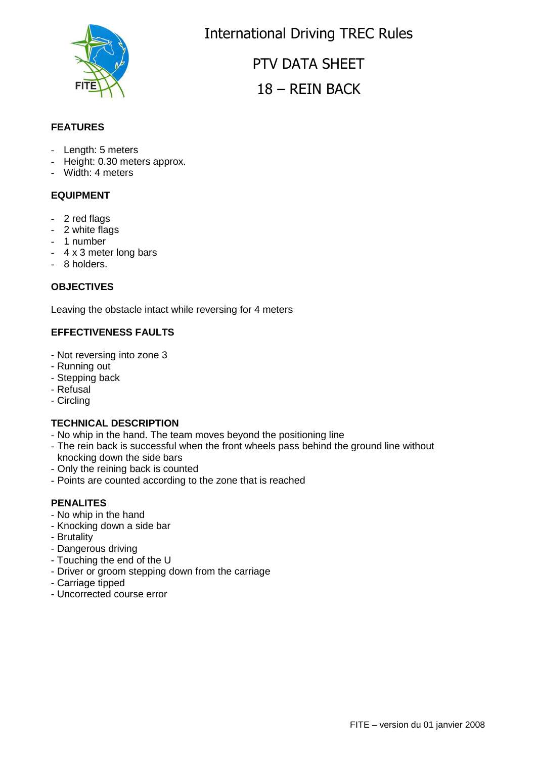

International Driving TREC Rules

PTV DATA SHEET 18 – REIN BACK

## **FEATURES**

- Length: 5 meters
- Height: 0.30 meters approx.
- Width: 4 meters

## **EQUIPMENT**

- 2 red flags
- 2 white flags
- 1 number
- 4 x 3 meter long bars
- 8 holders.

#### **OBJECTIVES**

Leaving the obstacle intact while reversing for 4 meters

#### **EFFECTIVENESS FAULTS**

- Not reversing into zone 3
- Running out
- Stepping back
- Refusal
- Circling

#### **TECHNICAL DESCRIPTION**

- No whip in the hand. The team moves beyond the positioning line
- The rein back is successful when the front wheels pass behind the ground line without knocking down the side bars
- Only the reining back is counted
- Points are counted according to the zone that is reached

#### **PENALITES**

- No whip in the hand
- Knocking down a side bar
- Brutality
- Dangerous driving
- Touching the end of the U
- Driver or groom stepping down from the carriage
- Carriage tipped
- Uncorrected course error